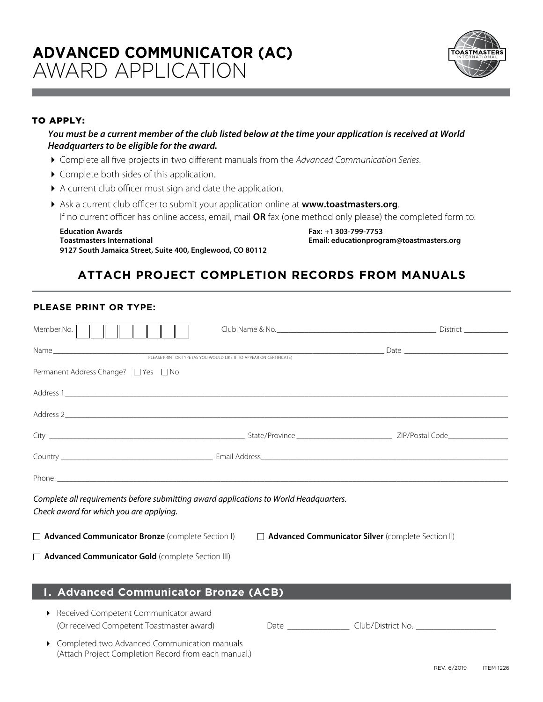

## TO APPLY:

## *You must be a current member of the club listed below at the time your application is received at World Headquarters to be eligible for the award.*

- 4 Complete all five projects in two different manuals from the *Advanced Communication Series*.
- ▶ Complete both sides of this application.
- 4 A current club officer must sign and date the application.
- 4 Ask a current club officer to submit your application online at **www.toastmasters.org**. If no current officer has online access, email, mail **OR** fax (one method only please) the completed form to:

**Education Awards Fax: +1 303-799-7753 Toastmasters International Email: educationprogram@toastmasters.org 9127 South Jamaica Street, Suite 400, Englewood, CO 80112**

## **ATTACH PROJECT COMPLETION RECORDS FROM MANUALS**

## **PLEASE PRINT OR TYPE:**

| Member No.                                                                                                                       |  |
|----------------------------------------------------------------------------------------------------------------------------------|--|
|                                                                                                                                  |  |
| Permanent Address Change? □ Yes □ No                                                                                             |  |
|                                                                                                                                  |  |
|                                                                                                                                  |  |
|                                                                                                                                  |  |
|                                                                                                                                  |  |
|                                                                                                                                  |  |
| Complete all requirements before submitting award applications to World Headquarters.<br>Check award for which you are applying. |  |
| $\Box$ Advanced Communicator Bronze (complete Section I) $\Box$ Advanced Communicator Silver (complete Section II)               |  |
| <b>Advanced Communicator Gold</b> (complete Section III)                                                                         |  |
|                                                                                                                                  |  |
| I. Advanced Communicator Bronze (ACB)                                                                                            |  |
| ▶ Received Competent Communicator award                                                                                          |  |

| (Or received Competent Toastmaster award)      | Jate | Club/District No. |
|------------------------------------------------|------|-------------------|
| • Completed two Advanced Communication manuals |      |                   |

ompleted two Advanced Communication manuals. (Attach Project Completion Record from each manual.)